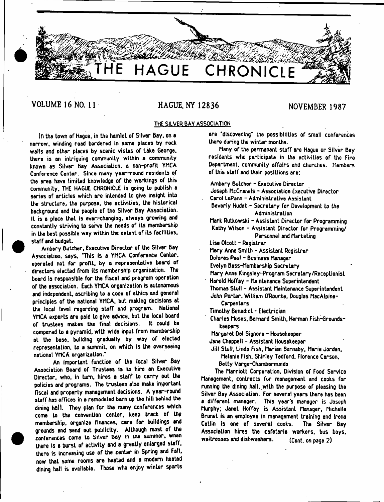# **THE HAGUE CHRONICLE**

*■ m*

# VOLUME 16 NO. 11 HAGUE, NY 12836 NOVEMBER 1987

*yjj*

# **THE SILVER BAY ASSOCIATION**

**In the town of Hague, in the hamlet of Silver Bay. on a narrow, winding road bordered in some places by rock walls and other places by scenic vistas of Lake George, there is an intriguing community within a community known as Silver Bay Association, a non-profit YMCA Conference Center. Since many year-round residents of the area have limited knowledge of the workings of this community, THE HAGUE CHRONICLE is going to publish a series of articles which are intended Lo give insight into the structure, the purpose, the activities, the historical background and the people of the Silver Bay Association. It is a place that is ever-changing, always growing and constantly striving to serve the needs of its membership in the best possible way within the extent of its facilities, staff and budget.**

**Ambery Butcher, Executive Director of the Silver Bay Association, says. 'This is a YMCA Conference Center, operated not for profiL. by a representative board of directors elected from its membership organization. The board is responsible for the fiscal and program operation of the association. Each YMCA organization is autonomous and independent, ascribing lo a code of ethics and general principles of the national YMCA. but making decisions at the local level regarding staff and program. National YMCA experts are paid to give advice, but the local board** of trustees makes the final decisions. **compared to a pyramid, with wide inpuL from membership at the base, building gradually by way of elected representation, to a summit, on which is the overseeing national YMCA organization.\***

**An important function of the local Silver Bay Association Board of Trustees is to hire an Executive Director, who, In turn, hires a staff to carry out the policies and programs. The trustees also make important fiscal and property management decisions. A year-round staff has offices in a remodeled barn up the hill behind the dining hall. They plan for the many conferences which come to the convention center, keep track of the membership, organize finances, cere for buildings and grounds and send out publicity. Although most of the conferences come lo Silver Day in the summer, wnen there Is** *a* **burst of activity and a greatly enlarged staff, there Is increasing use of the center in Spring and Fall, now that some rooms are heated and a modem heated dining hall is available. Those who enjoy winter sports** **are 'discovering' the possibilities of small conferences there during the winter months.**

**Many of the permanent staff are Hague or Silver Bay residents who participate in the activities of the fire Department, community affairs and churches. Members of this staff and their positiions are:**

**Ambery Butcher - Executive Director**

**Joseph McCranels - Association Executive Director**

**Carol LaPann -** Administrative Assistant

**Beverly Hudak- Secretary for Development to the Administration**

**Mark Rutkowski - Assistant Director for Programming** Kathy Wilson - Assistant Director for Programming/ **Personnel and Marketing**

**Lisa Olcott - Registrar**

**Mary Anne Smith - Assistant Registrar**

**Dolores Paul - Business Manager**

**Evelyn Bass-Membership Secretary**

**Mary Anne Kingsley-Program Secretary/Receptionist Harold Hoffay - Maintenance Superintendent**

**Thomas Stull - Assistant Maintenance Superintendent John Porter. William O'Rourke. Douglas MacAlpine-**

**Carpenters**

**Timothy Benedict - Electrician**

**Charles Moses, Bernard Smith, Herman Fish-6roundskeepers**

**Margaret Del Signore - Housekeeper**

**Jane Chappell - Assistant Housekeeper**

**Jill Stull, Linda Fish, Marian Barnaby, Marie Jordan, Melanie Fish. Shirley Tedford. Florence Carson, Belty Vargo-Chambermaids**

**The Marriott Corporation. Division of Food Service Management, contracts fur management and cooks for running the dining hall..with the purpose of pleasing the Silver Bay Association. For several years there has been a different manager. This year's manager is Joseph Murphy; Janet Hoffay is Assistant Manager, Michelle Brunet is an employee in management training end Irene Callin is one of several cooks. The Silver Bay Association hires the cafeteria workers, bus boys, waitresses and dishwashers. (Cont. on page 2)**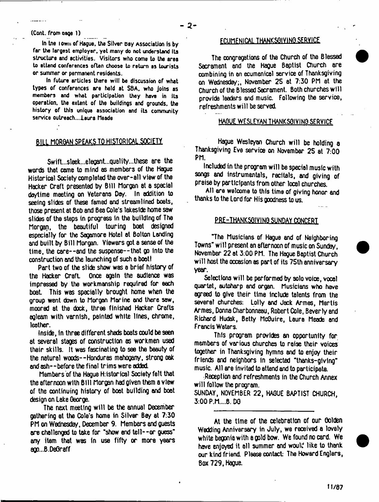#### (Cont. from cage 1)

**In tne i own of Hague, the Silver Day Association Is by far the largest employer, yet many do not understand its structure and activities. Visitors who come to the area to attend conferences often choose to return as tourists or summer or permanent residents.**

**In future articles there will be discussion of what types of conferences are held at SBA. who joins as members and what participation they have in its operation, the extent of the buildings and grounds, the history of this unique association and its community service outreach...laura Meade**

# BILL MORGAN SPEAKS TO HISTORICAL SOCIETY.

Swift...sleek...elegant...quality...these are the words that came to mind as members of the Hague Historical Society completed the over-all view of the Hacker Craft presented by Bill Morgan at a special daytime meeting on Veterans Day. In addition to seeing slides of these famed and streamlined boats, those present at Bob and Bea Cole's lakeside home saw slides of the steps in progress in the building of The Morgan, the beautiful touring boat designed especially for the Sagamore Hotel at Bolton Landing and built by Bill Morgan. Viewers got a sense of the time, the care--and the suspense--that go into the construction and the launching of such a boot I

Part two of the slide show was a brief history of the Hacker Craft Once again the audience was impressed by the workmanship required for each boat This was specially brought home when the group went down to Morgan Marine end there saw, moored 8t the dock, three finished Hacker Crafts egleam with varnish, painted white lines, chrome, leather.

inside, In three different sheds boats could be seen at several stages of construction as workmen used their skills. It was fascinating to see the beauty of the natural woods--Honduras mahogany, strong oak and ash--before the final trims were added.

Members of the Hague Historical Society felt that the afternoon with Bill Morgan had given them a view of the continuing history of boot building and boot design on Lake George.

The next meeting will be the annual December gathering at the Cole's home in Silver Bey at 7:30 PM on Wednesday, December 9. Members and guests are challenged to take for "show end tell--or guess' any item that was in use fifty or more years ago...B.De0raff

# FfllMFNICAl THANKSGIVING SERVICE

The congregations of the Church of the Blessed Sacrament and the Hague Baptist Church are combining in an ecumenical service of Thanksgiving on Wednesday;, November 2S at 7:30 PM at the Church of the Blessed Sacrament. Both churches will provide leaders and music. Following the service, refreshments will be served.

# HAGUE WESLEYAN THANKSGIVING SERVICE

Hague Wesleyan Church will be holding a Thanksgiving Eve service on November 25 at 7:00 PM.

Included in the program will be special music with songs and instrumentals, recitals, and giving of praise by participants from other local churches.

All ere welcome to this time of giving honor end thanks to the Lord for His goodness to us.

# PRE-THANKSGIVING SUNDAY CONCERT

"The Musicians of Hague and of Neighboring Towns" will present an afternoon of music on Sunday, November 22 at 3:00 PM. The Hague Baptist Church will host the occasion as part of its 75th anniversary year.

Selections will be performed by solo voice, vocal quartet, autoharp and organ. Musicians who have agreed to give their time include talents from the several churches: Lolly and Jack Armes, Mertis Armes, Donna Charbonneau, Robert Cole, Beverly and Richard Hudak, Betty McGuire, Laura Meade and Francis Waters.

This program provides an opportunity for members of various churches to raise their voices together in Thanksgiving hymns and to enjoy their friends and neighbors In selected "thanks-glving" music. All are invited to attend and to participate.

Reception and refreshments in the Church Annex will follow the program.

SUNDAY, NOVEMBER 22, HAGUE BAPTIST CHURCH, 3:00 P.M....B. DO

At the time of the celebration of our Golden Wedding Anniversary in July, we received a lovely white begonia withe gold bow. We found no card. We have enjoyed it all summer and would like to thank our kind friend. Please contact: The Howard Englers, Box 729, Haoue.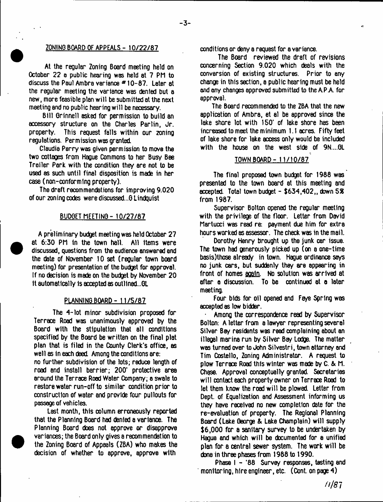# **^ ZONING BOARD OF APPEALS - 10/22/87**

At the regular Zoning Board meeting held on October 22 a public hearing was held at 7 PH to discuss the Paul Ambra variance # 10-87. Later at the regular meeting the variance was denied but a new, more feasible plan will be submitted at the next meeting and no public hearing will be necessary.

Bill Grinnell asked for permission to build an accessory structure on the Charles Parlin, Jr. property. This request falls within our zoning regulations. Permission was granted.

Claudia Perry was given permission to move the two cottages from Hague Commons to her Busy Bee Trailer Park with the condition they ere not to be used as such until final disposition is made in her case (non-conforming property).

The draft recommendations for improving 9.020 of our zoning codes were discussed...G Lindquist

# BUDGET MEETING - 10/27/87

A preliminary budget meeting was held October 27 at 6:30 PN in the town hall. All items were discussed, questions from the audience answered and the date of November 10 set (regular town board meeting) for presentation of the budget for approval. If no decision is made on the budget by November 20 It automatically Is accepted as outlined,.GL

**•**

**•**

# **PLANNING BOARD - 11/5/87**

The 4-lot minor subdivision proposed for Terrace Road was unanimously approved by the Board with the stipulation that all conditions specified by the Board be written on the final plat plan that is filed in the County Clerk's office, as well as in each deed Among the conditions are:

no further subdivision of the lots; reduce length of road and install barrier; 200' protective area around the Terrace Rood Water Company; a swale to restore water run-off to similar condition prior to construction of water and provide four pullouts for passage of vehicles.

Last month, this column erroneously reported that the Planning Board had denied a variance. The Planning Board does not approve or disapprove variances; the Board only gives a recommendation to the Zoning Board of Appeals (ZBA) who makes the decision of whether to approve, approve with

conditions or deny a request for a variance.

The Board reviewed the draft of revisions concerning Section 9.020 which deals with the conversion of existing structures. Prior to any change in this section, a public hearing must be held and any changes approved submitted to the A.P.A. for approval.

The Board recommended to the ZBA that the new application of Ambra, et al be approved since the lake shore lot with 150' of lake shore has been increased to meet the minimum 1.1 acres. Fifty feet of lake shore for lake access only would be included with the house on the west side of 9N....GL

# TOWN BOARD - 11/10/87

The final proposed town budget for 1988 was presented to the town board at this meeting and accepted. Total town budget - \$634,402,, down 5% from 1987.

Supervisor Bolton opened the regular meeting with the privilege of the floor. Letter from David Martucci was read re: payment due him for extra hours worked as assessor. The check was in the mail.

Dorothy Henry brought up the junk car issue. The town had generously picked up (on a one-time basis)those already in town. Hague ordinance says no junk cars, but suddenly they are appearing in front of homes aoaln. No solution was arrived at after a discussion. To be continued at a later meeting.

Four bids for oil opened and Faye Spring was accepted as low bidder.

• Among the correspondence read by Supervisor Bolton: A letter from a lawyer representing several Stiver Bey residents was read complaining about an illegal marina run by Silver Bay Lodge. The matter was turned over to John Silvestri, town attorney and Tim Costello, Zoning Administrator. A request to plow Terrace Road this winter was made by C. & h. Chase. Approval conceptually granted. Secretaries will contact each property owner on Terrace Road to let them know the road will be plowed. Letter from Dept, of Equalization and Assessment informing us they have received no new completion date for the re-evaluation of property. The Regional Planning Board (Lake George & Lake Champlain) will supply \$6,000 for a sanitary survey to be undertaken by Hague and which will be documented for e unified plan for a central sewer system. The work will be done in three phases from 1988 to 1990.

Phase I - '88 Survey responses, testing and monitoring, hire engineer, etc. (Cont. on page 4)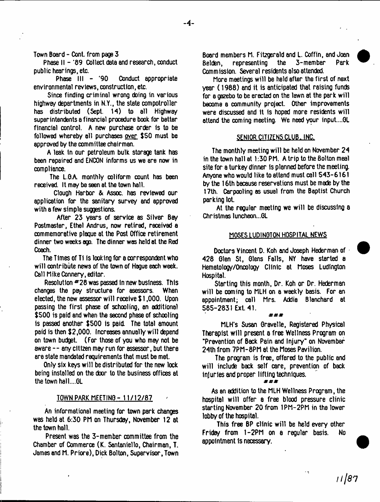Town Board - Cont, from page 3

Phase II - '89 Collect data and research, conduct public hearings, etc.

Phase III - '90 Conduct appropriate environmental reviews, construction, etc.

Since finding criminal wrong doing in various highway departments in N.Y., the state compotroller has distributed (Sept. 14) to all Highway superintendents a financial procedure book for better financial control. A new purchase order is to be followed whereby all purchases over \$50 must be approved by the committee chairman.

A leak In our petroleum bulk storage tank has been repaired and ENOON informs us we are now in compliance.

The L.0A monthly coliform count has been received. It may be seen at the town hall.

Clough Harbor & Assoc, has reviewed our application for the sanitary survey and approved with a few simple suggestions.

After 23 years of service as Silver Bay Postmaster, Ethel Andrus, now retired, received a commemorative plaque at the Post Office retirement dinner two weeks ago. The dinner was held at the Red Coach.

The Times of Ti is looking for a correspondent who will contribute news of the town of Hague each week. Call Mike Connery, editor.

Resolution \*28 was passed in new business. This changes the pay structure for esessors. When elected, the new assessor will receive \$ 1,000. Upon passing the first phase of schooling, an additional \$500 is paid and when the second phase of schooling is passed another \$500 is pail The total amount paid is then \$2,000. Increases annually will depend on town budget. (For those of you who may not be aware -- any citizen may run for assessor, but there ere state mandated requirements that must be met.

Only six keys will be distributed for the new lock being installed on the door to the business offices at the town hall....6L

# TOWN PARK MEETING - 11/12/87

An informational meeting for town park changes was held at 6:30 PM on Thursday, November 12 at the town hall.

Present was the 3-member committee from the Chamber of Commerce (K. Santaniello, Chairman, T. James and M. Priore), Dick Bolton, Supervisor, Town Board members M. Fitzgerald and L. Coffin, and Joan Belden, representing the 3-member Park Commission. Several residents also attended.

More meetings will be held after the first of next year (1988) and it is anticipated that raising funds for a gazebo to be erected on the lawn at the park will become a community project. Other improvements were discussed and It is hoped more residents will attend the coming meeting. We need your input....01

### SENIOR CITIZENS CLUB. INC.

The monthly meeting will be held on November 24 in the town hall at 1:30 PM. A trip to the Bolton meal site for a turkey dinner is planned before the meeting. Anyone who would like to attend must call 543-6161 by the 16th because reservations must be made by the 17th. Carpooling as usual from the Baptist Church parking tot.

At the regular meeting we will be discussing a Christmas luncheon...GL

# MOSES LUDINQTON HOSPITAL NEWS

Doctors Yincent D. Koh and Joseph Hederman of 428 Glen St, Glens Falls, NY have started a Hematology/Oncology Clinic at Moses Ludlngton Hospital.

Starting this month, Dr. Koh or Dr. Hederman will be coming to MLH on a weekly basis. For an appointment; call Mrs. Addia Blanchard at 585-2831 Ext. 41.

#### ###

MLH's Susan Gravelle, Registered Physical Therapist will present a free Wellness Program on "Prevention of Back Pain and Injury\* on November 24th from 7PM-8PM at the Moses Pavilion.

The program is free, offered to the public and will include back self care, prevention of back Injuries and proper lifting techniques.

#### *m\**sr#

As an addition to the MLH Wellness Program, the hospital will offer a free blood pressure clinic starting November 20 from 1PM-2PM in the lower lobby of the hospital.

This free BP clinic will be held every other Friday from 1-2PM on a regular basis. No appointment Is necessary.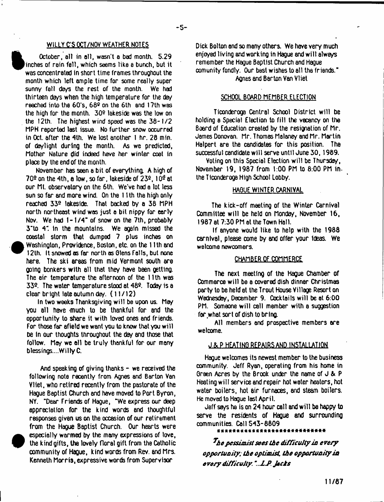# WILLY C'S OCT/NOV WEATHER NOTES

October, all in all, wasn't a bad month. 5.29 ^Pinches of rain fell, which seems like a bunch, but it was concentrated in short time frames throughout the month which left ample time for some really super sunny fall days the rest of the month. We had thirteen days when the high temperature for the day reached into the 60's, 68º on the 6th and 17th was the high for the month.  $30<sup>°</sup>$  lakeside was the low on the 12th. The highest wind speed was the 38-1/2 MPH reported last issue. No further snow occurred in Oct. after the 4th. We lost another I hr. 28 min. of daylight during the month. As we predicted, Mother Nature did indeed have her winter coat in place by the end of the month.

November has seen a bit of everything. A high of  $70<sup>9</sup>$  on the 4th, a low, so far, lakeside of  $23<sup>9</sup>$ ,  $10<sup>9</sup>$  at our Mt. observatory on the 6th. We've had a lot less sun so far and more wind. On the 11 th the high only reached 339 lakeside. That backed by a 38 MPH north northeast wind was just a bit nippy for early Nov. We had  $1-1/4$ " of snow on the 7th, probably 3'to 4". in the mountains. We again missed the coastal storm that dumped 7 plus inches on Washington, Providence, Boston, etc. on the 11th and 12th. It snowed as far north as Olens foils, but none here. The ski areas from mid Vermont south are Qolng bonkers with all that they have been getting. The air temperature the afternoon of the 11th was 339 The water temperature stood at 489 Today is a clear bright late autumn day. (11/12)

**•**

**•**

In two weeks Thanksgiving will be upon us. May you all have much to be thankful for and the opportunity to share it with loved ones and friends. For those far afield we want you to know that you will be in our thoughts throughout the day and those that follow. May we all be truly thankful for our many blessings....WillyC.

And speaking of giving thanks  $-$  we received the following note recently from Agnes and Barton Van Vliet, who retired recently from the pastorale of the Hague Baptist Church and have moved to Port Byron, NY. "Dear Friends of Hague, "We express our deep appreciation for the kind words and thoughtful responses given us on the occasion of our retirement from the Hague Baptist Church. Our hearts were especially warmed by the many expressions of love, the kind gifts, the lovely floral gift from the Catholic community of HaQue, kind words from Rev. and Mrs. Kenneth Morris, expressive words from Supervisor

Dick Bolton and so many others. We have very much enjoyed living and working in Hague and will always remember the Hague Baptist Church and Hague comunity fondly. Our best wishes to all the friends." Agnes and Barton Van Vliet

# SCHOOL BOARD MEMBER ELECTION

Ticonderoga Central School District will be holding a Special Flection to fill the vacancy on the Board of Education created by the resignation of Mr. James Donovan. Mr. Thomas Melaney and Mr. Martin Halpert are the candidates for this position. The successful candidate will serve until June 30,19B9.

Voting on this Special Election will be Thursday, November 19, 1987 from 1:00 PM to 8:00 PM in. the Ttconderoga High School Lobby.

# HAQUE WINTER CARNIVAL

The kick-off meeting of the Winter Carnival Committee will be held on Monday, November 16, 1987 at 7:30 PM at the Town Hall.

If anyone would like to help with the 1988 carnival, please come by and offer your ideas. We welcome newcomers.

# CHAMBER OF COMMERCE

The next meeting of the Hague Chamber of Commerce will be a covered dish dinner Christmas party to be held at the Trout House Village Resort on Wednesday, December 9. Cocktails will be at 6:00 PM. Someone will call member with a suggestion for what sort of dish to bring.

All members and prospective members are welcome.

# J&P HEATING REPAIRS AND INSTALLATION

Hague welcomes its newest member to the business community. Jeff Ryan, operating from his home in Green Acres by the Brook under the name of  $J & P$ Heating will service and repair hot water heaters, hot water boilers, hot air furnaces, and steam boilers. He moved lo Hague last April.

Jeff says he is on 24 hour call and will ba happy to serve the residents of Hague end surrounding communities. Call 543-8809

*^he pessimist sees the difficulty in every opportunity; the optimist the opportunity in every difficuJty "...U Jechs*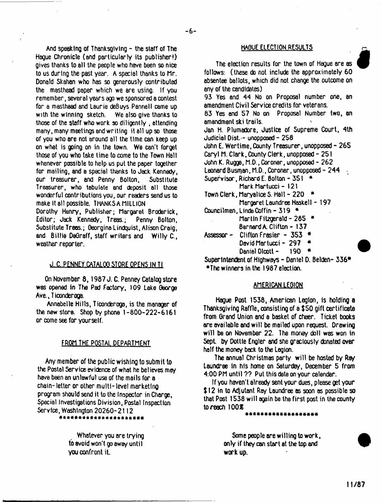And speaking of Thanksgiving  $-$  the staff of The Hague Chronicle (and particularly its publisher!) gives thanks to all the people who have been so nice to us during the past year. A special thanks to Mr. Donald Skahan who has so generously contributed the masthead paper which we are using. If you remember, several years ago we sponsored a contest for a masthead and Laurie deBuys Pannell came up<br>with the winning sketch. We also give thanks to with the winning sketch. those of the staff who work so diligently , attending many, many meetings end writing it all up so those of you who are not around all the time can keep up on whet is going on in the town. We can't forget those of you who take time lo come lo the Town Hall whenever possible to help us put the paper together for mailing, and a special thanks to Jack Kennedy, our treasurer, and Penny Bolton, Substitute Treasurer, who tabulate and deposit all those wonderful contributions you, our readers send us to make it ell possible. THANKSA MILLION Dorothy Henry, Publisher; Margaret Broderick, Editor; Jack Kennedy, Treas.; Penny Bolton,

Substitute Treas.; Georgina Lindquist, Alison Craig, and Billie DeGraff, staff writers and Willy C., weather reporter.

# *d* C. PENNEY CATALOG STORE OPENS IN Tl

On November 8, 1987 J. C. Penney Catalog store was opened in The Pad Factory, 109 Lake George Ave., Ticonderoga.

Annabelle Hills, Ticonderoga, is the manager of the new store. Shop by phone 1-800-222-6161 or come see for yourself.

# FROM THE POSTAL DEPARTMENT

Any member of the public wishing to submit lo the Postal Service evidence of what he believes may have been an unlawful use of the mails for a chain-letter or other multi-level marketing program should send it to the Inspector in Charge, Special Investigations Division, Postal Inspection Service, Washington 20260-2112

you confront it. workup.

# **HAQUE ELECTION RESULTS**

**i**

The election results for the town of Hague are as follows: (these do not include the approximately 60 absentee ballots, which did not change the outcome on any of the candidates) 93 Yes and 44 No on Proposal number one, an amendment Civil Service credits for veterans. 83 Yes end 57 No on Proposal Number two, an amendment ski trails. Jan H. Plumadore, Justice of Supreme Court, 4th Judicial Dist. - unopposed - 256 John E. Wertime, County Treasurer, unopposed - 265 Caryl M. Clark, County Clerk, unopposed - 251 John K. Rugge, M.D., Coroner, unopposed - 262 Leonard Busman, M.D., Coroner, unopposed - 244 Supervisor, Richard E. Bolton - 351 \* Mark Martucci - 121 Town Clerk, Maryalice S. Hall -  $220$   $\rightarrow$ Margaret Laundree Haskell - 197 Councilmen, Linda Coffin - 319 \* Martin Fitzgerald - 285  $*$ Bernard A. Clifton - 137 Assessor- Clifton Frasier - 353 \* David Martucci - 297 \*

Daniel Olcott - 190 \*

Superintendent of Highways - Daniel D. Belden- 336\* •The winners in the 1967 election.

# AMERICAN LEGION

Hague Post 1538, American Legion, is holding a Thanksgiving Raffle, consisting of a \$50 gift certificate from Grand Union and a basket of cheer. Ticket books are available and wilt be mailed upon request. Drawing will be on November 22. The money doll wes won in Sept. by Dottle Engler and she graciously donated over half the money bock to the Legion.

The annual Christmas party will be hosted by Ray Laundree In his home on Saturday, December 5 from 4:00 PM until ?? Put this date on your calendar.

If you haven't already sent your dues, please get your \$ 12 in to Adjutant Roy Laundree as soon as possible so that Post 1538 wilt again be the first post in the county to reach  $100\%$ 

\*\*\*\*\*\*\*\*\*\*\*\*\*\*\*\*

Whatever you are trying states of the Some people are willing to work, to avoid won't go away until only if they can start at the top and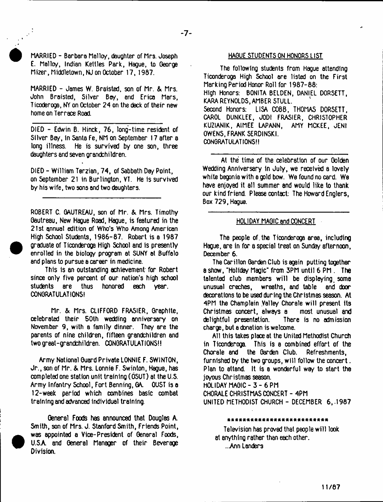MARRIED - Barbara Malloy, daughter of Mrs. Joseph E. Malloy, Indian Kettles Park, Hague, to George Mizer, Middletown, NJ on October 17,1987.

MARRIED - James W. Braisted, son of Mr. & Mrs. John Braisted, Silver Boy, end Erica Mars, Ticoderoga, NY on October 24 on the deck of their new home on Terrace Road.

DIED - Edwin B. Hinck, 76, long-time resident of Silver Bay, in Santa Fe, NM on September 17 after a long illness. He is survived by one son, three daughters end seven grandchildren.

DIED - William Terzian, 74, of Sabbath Day Point, on September 21 In Burlington, VT. He is survived by his wife, two sons and two daughters.

ROBERT C. GAUTREAU, son of Mr. & Mrs. Timothy Gautreau, New Hague Road, Hague, is featured in the 21st annual edition of Who's Who Among American High School Students, 1986-87. Robert is a 1987 graduate of Ticonderoga High School and is presently enrolled in the biology program at SUNY at Buffalo and plans to pursue a career in medicine.

This is an outstanding achievement for Robert since only five percent of our nation's high school students are thus honored each year. CONGRATULATIONS!

Mr. & Mrs. CLIFFORD FRASIER. Graphite, celebrated their 50th wedding anniversary on November 9, with a family dinner. They are the parents of nine children, fifteen grandchildren and two great-grandchildren. CONGRATULATIONS!!

Army National Guard Private LONNIE F. SWINTON, Jr., son of Mr. & Mrs. Lonnie F. Swinton, Hague, has xmpleted one station unit training (OSUT) at the U.S. Army Infantry School, Fort Benning, GA. OUST is a 12-week period which combines basic combat training and advanced individual training.

General Foods has announced that Douglas A. Smith, son of Mrs. J. Stanford Smith, Friends Point, was appointed a Vice- President of General Foods, U.SA and General Manager of their Beverage Division.

# HAQUE STUDENTS ON HONORS LIST

The following students from Hague attending Ticonderoga High School are listed on the First Marking Period Honor Roll for 1987-88: High Honors: BONITA BELDEN, DANIEL DORSETT, KARA REYNOLDS, AMBER STULL. Second Honors: LISA COBB, THOMAS DORSETT, CAROL DUNKLEE, JODI FRASIER, CHRISTOPHER KUZIANIK, AIMEE LAPANN, AMY MCKEE, JENI OWENS, FRANK SERDINSKI. CONGRATULATIONS!!

At the time of the celebration of our Golden Wedding Anniversary in July, we received a lovely white begonia with a gold bow. We found no card. We have enjoyed it all summer and would like to thank our kind friend. Please contact: The Howard Englers, Box 729, Hague.

### HOLIDAY MAGIC and CONCERT

The people of the Ticonderoga area, including Hague, are in for a special treat on Sunday afternoon, December 6.

The Carillon Garden Club is again putting together a show, "Holiday Magic" from 3PM until 6 PM . The talented club members will be displaying some unusual creches, wreaths, and table and door decorations to be used during the Christmas season. At 4PM the Champlain Valley Chorale will present its Christmas concert, always a most unusual and delightful presentation. There is no admission charge, but a donation is welcome.

All this takes place at the United Methodist Church in Ticonderoga. This is a combined effort of the Chorale and the Garden Club. Refreshments, furnished by the two groups, will follow the concert. Plan to attend. It is a wonderful way to start the joyous Christmas season. HOLIDAY MAGIC - 3 - 6 PM

CHORALE CHRISTMAS CONCERT - 4PM UNITED METHODIST CHURCH - DECEMBER 6,-1987

#### «\*\*\*\*««\*\*««\*\*««\*\*\*\*«««\*\*\*\*

Television has proved that people will look at anything rather than each other. ..Ann Landers